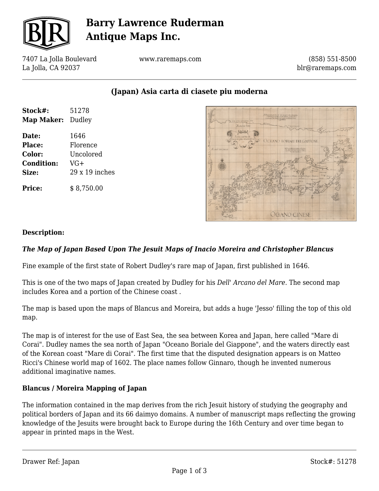

# **Barry Lawrence Ruderman Antique Maps Inc.**

7407 La Jolla Boulevard La Jolla, CA 92037

www.raremaps.com

(858) 551-8500 blr@raremaps.com

**(Japan) Asia carta di ciasete piu moderna**

| Stock#:<br>Map Maker: | 51278<br>Dudley |
|-----------------------|-----------------|
| Date:                 | 1646            |
| <b>Place:</b>         | Florence        |
| Color:                | Uncolored       |
| <b>Condition:</b>     | $VG+$           |
| Size:                 | $29x19$ inches  |
| <b>Price:</b>         | \$8,750.00      |



### **Description:**

#### *The Map of Japan Based Upon The Jesuit Maps of Inacio Moreira and Christopher Blancus*

Fine example of the first state of Robert Dudley's rare map of Japan, first published in 1646.

This is one of the two maps of Japan created by Dudley for his *Dell' Arcano del Mare*. The second map includes Korea and a portion of the Chinese coast *.*

The map is based upon the maps of Blancus and Moreira, but adds a huge 'Jesso' filling the top of this old map.

The map is of interest for the use of East Sea, the sea between Korea and Japan, here called "Mare di Corai". Dudley names the sea north of Japan "Oceano Boriale del Giappone", and the waters directly east of the Korean coast "Mare di Corai". The first time that the disputed designation appears is on Matteo Ricci's Chinese world map of 1602. The place names follow Ginnaro, though he invented numerous additional imaginative names.

### **Blancus / Moreira Mapping of Japan**

The information contained in the map derives from the rich Jesuit history of studying the geography and political borders of Japan and its 66 daimyo domains. A number of manuscript maps reflecting the growing knowledge of the Jesuits were brought back to Europe during the 16th Century and over time began to appear in printed maps in the West.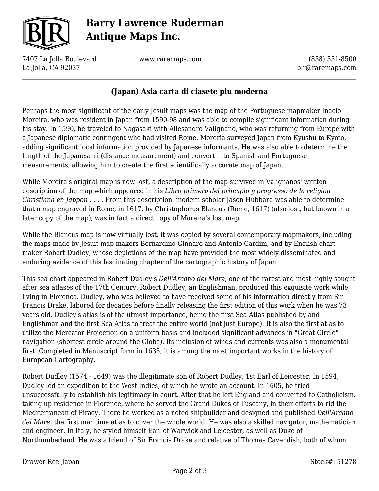

# **Barry Lawrence Ruderman Antique Maps Inc.**

7407 La Jolla Boulevard La Jolla, CA 92037

www.raremaps.com

(858) 551-8500 blr@raremaps.com

### **(Japan) Asia carta di ciasete piu moderna**

Perhaps the most significant of the early Jesuit maps was the map of the Portuguese mapmaker Inacio Moreira, who was resident in Japan from 1590-98 and was able to compile significant information during his stay. In 1590, he traveled to Nagasaki with Allesandro Valignano, who was returning from Europe with a Japanese diplomatic contingent who had visited Rome. Moreria surveyed Japan from Kyushu to Kyoto, adding significant local information provided by Japanese informants. He was also able to determine the length of the Japanese ri (distance measurement) and convert it to Spanish and Portuguese measurements, allowing him to create the first scientifically accurate map of Japan.

While Moreira's original map is now lost, a description of the map survived in Valignanos' written description of the map which appeared in his *Libro primero del principio y progresso de la religion Christiana en Jappon . . . .* From this description, modern scholar Jason Hubbard was able to determine that a map engraved in Rome, in 1617, by Christophorus Blancus (Rome, 1617) (also lost, but known in a later copy of the map), was in fact a direct copy of Moreira's lost map.

While the Blancus map is now virtually lost, it was copied by several contemporary mapmakers, including the maps made by Jesuit map makers Bernardino Ginnaro and Antonio Cardim, and by English chart maker Robert Dudley, whose depictions of the map have provided the most widely disseminated and enduring evidence of this fascinating chapter of the cartographic history of Japan.

This sea chart appeared in Robert Dudley's *Dell'Arcano del Mare*, one of the rarest and most highly sought after sea atlases of the 17th Century. Robert Dudley, an Englishman, produced this exquisite work while living in Florence. Dudley, who was believed to have received some of his information directly from Sir Francis Drake, labored for decades before finally releasing the first edition of this work when he was 73 years old. Dudley's atlas is of the utmost importance, being the first Sea Atlas published by and Englishman and the first Sea Atlas to treat the entire world (not just Europe). It is also the first atlas to utilize the Mercator Projection on a uniform basis and included significant advances in "Great Circle" navigation (shortest circle around the Globe). Its inclusion of winds and currents was also a monumental first. Completed in Manuscript form in 1636, it is among the most important works in the history of European Cartography.

Robert Dudley (1574 - 1649) was the illegitimate son of Robert Dudley, 1st Earl of Leicester. In 1594, Dudley led an expedition to the West Indies, of which he wrote an account. In 1605, he tried unsuccessfully to establish his legitimacy in court. After that he left England and converted to Catholicism, taking up residence in Florence, where he served the Grand Dukes of Tuscany, in their efforts to rid the Mediterranean of Piracy. There he worked as a noted shipbuilder and designed and published *Dell'Arcano del Mare*, the first maritime atlas to cover the whole world. He was also a skilled navigator, mathematician and engineer. In Italy, he styled himself Earl of Warwick and Leicester, as well as Duke of Northumberland. He was a friend of Sir Francis Drake and relative of Thomas Cavendish, both of whom